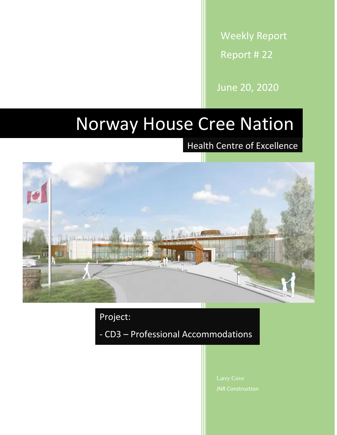Weekly Report Report # 22

June 20, 2020

## Norway House Cree Nation

Health Centre of Excellence



Project:

- CD3 – Professional Accommodations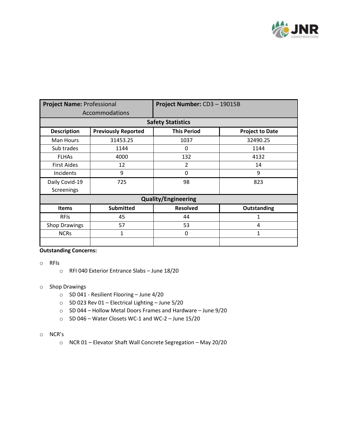

| <b>Project Name: Professional</b> |                            | Project Number: CD3-19015B |                        |  |
|-----------------------------------|----------------------------|----------------------------|------------------------|--|
| Accommodations                    |                            |                            |                        |  |
| <b>Safety Statistics</b>          |                            |                            |                        |  |
| <b>Description</b>                | <b>Previously Reported</b> | <b>This Period</b>         | <b>Project to Date</b> |  |
| Man Hours                         | 31453.25                   | 1037                       | 32490.25               |  |
| Sub trades                        | 1144                       | 0                          | 1144                   |  |
| <b>FLHAS</b>                      | 4000                       | 132                        | 4132                   |  |
| <b>First Aides</b>                | 12                         | 2                          | 14                     |  |
| Incidents                         | 9                          | 0                          | 9                      |  |
| Daily Covid-19                    | 725                        | 98                         | 823                    |  |
| Screenings                        |                            |                            |                        |  |
| <b>Quality/Engineering</b>        |                            |                            |                        |  |
| <b>Items</b>                      | <b>Submitted</b>           | <b>Resolved</b>            | <b>Outstanding</b>     |  |
| <b>RFIS</b>                       | 45                         | 44                         | 1                      |  |
| Shop Drawings                     | 57                         | 53                         | 4                      |  |
| <b>NCRs</b>                       | 1                          | 0                          | $\mathbf{1}$           |  |
|                                   |                            |                            |                        |  |

## **Outstanding Concerns:**

- o RFIs
	- o RFI 040 Exterior Entrance Slabs June 18/20
- o Shop Drawings
	- o SD 041 Resilient Flooring June 4/20
	- o SD 023 Rev 01 Electrical Lighting June 5/20
	- o SD 044 Hollow Metal Doors Frames and Hardware June 9/20
	- o SD 046 Water Closets WC-1 and WC-2 June 15/20
- o NCR's
	- o NCR 01 Elevator Shaft Wall Concrete Segregation May 20/20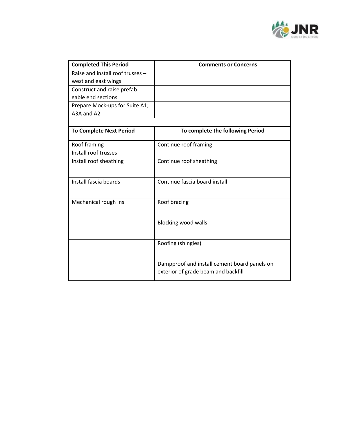

| <b>Completed This Period</b>     | <b>Comments or Concerns</b>                                                         |  |
|----------------------------------|-------------------------------------------------------------------------------------|--|
| Raise and install roof trusses - |                                                                                     |  |
| west and east wings              |                                                                                     |  |
| Construct and raise prefab       |                                                                                     |  |
| gable end sections               |                                                                                     |  |
| Prepare Mock-ups for Suite A1;   |                                                                                     |  |
| A3A and A2                       |                                                                                     |  |
|                                  |                                                                                     |  |
| <b>To Complete Next Period</b>   | To complete the following Period                                                    |  |
| Roof framing                     | Continue roof framing                                                               |  |
| Install roof trusses             |                                                                                     |  |
| Install roof sheathing           | Continue roof sheathing                                                             |  |
| Install fascia boards            | Continue fascia board install                                                       |  |
| Mechanical rough ins             | Roof bracing                                                                        |  |
|                                  | <b>Blocking wood walls</b>                                                          |  |
|                                  | Roofing (shingles)                                                                  |  |
|                                  | Dampproof and install cement board panels on<br>exterior of grade beam and backfill |  |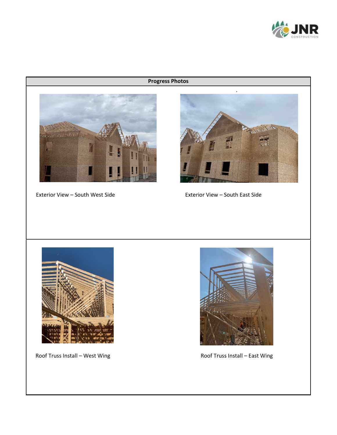

## **Progress Photos**



Exterior View – South West Side



Exterior View – South East Side



Roof Truss Install – West Wing **Roof Truss Install – East Wing** 

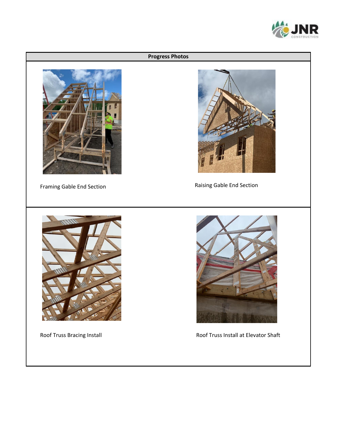

## **Progress Photos** Framing Gable End Section Raising Gable End Section Roof Truss Bracing Install **Roof Truss Install at Elevator Shaft**